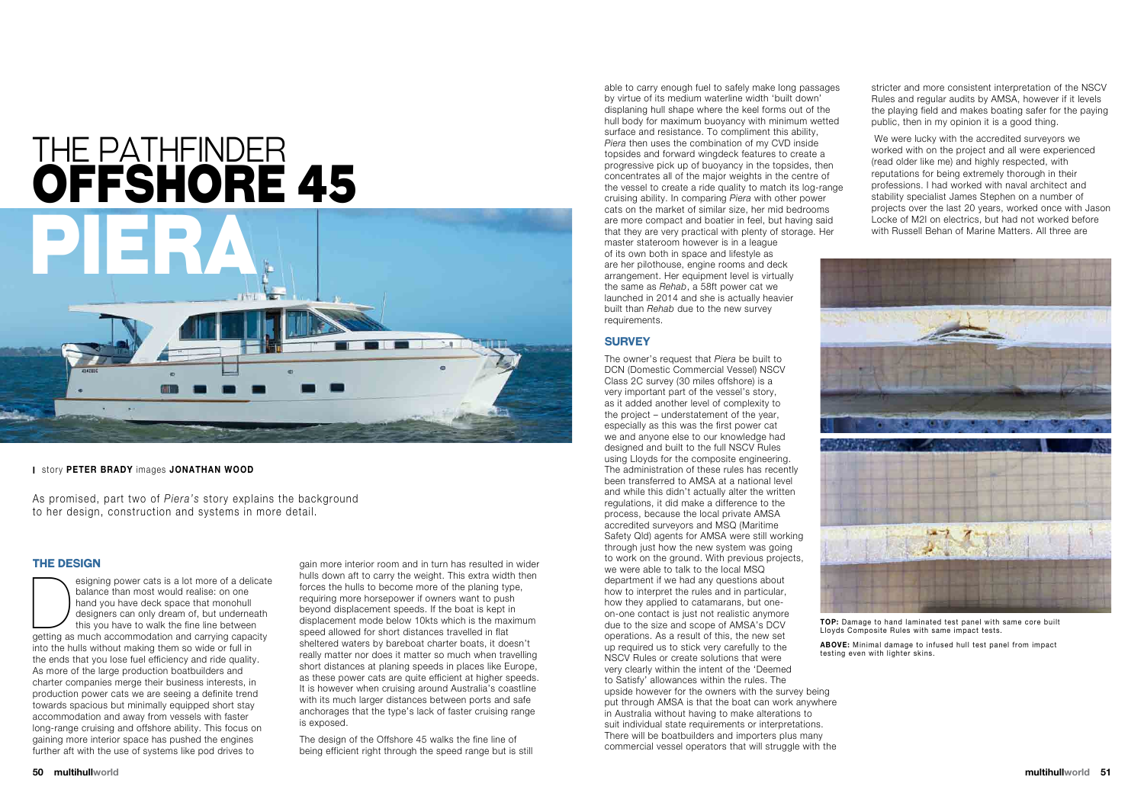#### **The Design**

esigning power cats is a lot more of a delicate<br>
balance than most would realise: on one<br>
hand you have deck space that monohull<br>
designers can only dream of, but underneath<br>
this you have to walk the fine line between<br>
ge balance than most would realise: on one hand you have deck space that monohull designers can only dream of, but underneath this you have to walk the fine line between into the hulls without making them so wide or full in the ends that you lose fuel efficiency and ride quality. As more of the large production boatbuilders and charter companies merge their business interests, in production power cats we are seeing a definite trend towards spacious but minimally equipped short stay accommodation and away from vessels with faster long-range cruising and offshore ability. This focus on gaining more interior space has pushed the engines further aft with the use of systems like pod drives to

gain more interior room and in turn has resulted in wider hulls down aft to carry the weight. This extra width then forces the hulls to become more of the planing type, requiring more horsepower if owners want to push beyond displacement speeds. If the boat is kept in displacement mode below 10kts which is the maximum speed allowed for short distances travelled in flat sheltered waters by bareboat charter boats, it doesn't really matter nor does it matter so much when travelling short distances at planing speeds in places like Europe, as these power cats are quite efficient at higher speeds. It is however when cruising around Australia's coastline with its much larger distances between ports and safe anchorages that the type's lack of faster cruising range is exposed.

The design of the Offshore 45 walks the fine line of being efficient right through the speed range but is still able to carry enough fuel to safely make long passages by virtue of its medium waterline width 'built down' displaning hull shape where the keel forms out of the hull body for maximum buoyancy with minimum wetted surface and resistance. To compliment this ability, *Piera* then uses the combination of my CVD inside topsides and forward wingdeck features to create a progressive pick up of buoyancy in the topsides, then concentrates all of the major weights in the centre of the vessel to create a ride quality to match its log-range cruising ability. In comparing *Piera* with other power cats on the market of similar size, her mid bedrooms are more compact and boatier in feel, but having said that they are very practical with plenty of storage. Her master stateroom however is in a league of its own both in space and lifestyle as are her pilothouse, engine rooms and deck arrangement. Her equipment level is virtually the same as *Rehab*, a 58ft power cat we launched in 2014 and she is actually heavier built than *Rehab* due to the new survey

# THE PATHFINDER <u>OFFSHORE 45</u>



requirements.

#### **Survey**

The owner's request that *Piera* be built to DCN (Domestic Commercial Vessel) NSCV Class 2C survey (30 miles offshore) is a very important part of the vessel's story, as it added another level of complexity to the project – understatement of the year, especially as this was the first power cat we and anyone else to our knowledge had designed and built to the full NSCV Rules using Lloyds for the composite engineering. The administration of these rules has recently been transferred to AMSA at a national level and while this didn't actually alter the written regulations, it did make a difference to the process, because the local private AMSA accredited surveyors and MSQ (Maritime Safety Qld) agents for AMSA were still working through just how the new system was going to work on the ground. With previous projects, we were able to talk to the local MSQ department if we had any questions about how to interpret the rules and in particular, how they applied to catamarans, but oneon-one contact is just not realistic anymore due to the size and scope of AMSA's DCV operations. As a result of this, the new set up required us to stick very carefully to the NSCV Rules or create solutions that were very clearly within the intent of the 'Deemed to Satisfy' allowances within the rules. The upside however for the owners with the survey being put through AMSA is that the boat can work anywhere in Australia without having to make alterations to suit individual state requirements or interpretations. There will be boatbuilders and importers plus many

commercial vessel operators that will struggle with the



stricter and more consistent interpretation of the NSCV Rules and regular audits by AMSA, however if it levels the playing field and makes boating safer for the paying public, then in my opinion it is a good thing.

 We were lucky with the accredited surveyors we worked with on the project and all were experienced (read older like me) and highly respected, with reputations for being extremely thorough in their professions. I had worked with naval architect and stability specialist James Stephen on a number of projects over the last 20 years, worked once with Jason Locke of M2I on electrics, but had not worked before with Russell Behan of Marine Matters. All three are



**top:** Damage to hand laminated test panel with same core built Lloyds Composite Rules with same impact tests. **above:** Minimal damage to infused hull test panel from impact

testing even with lighter skins.

As promised, part two of *Piera's* story explains the background to her design, construction and systems in more detail.

**I** story **peter brady** images **jonathan wood**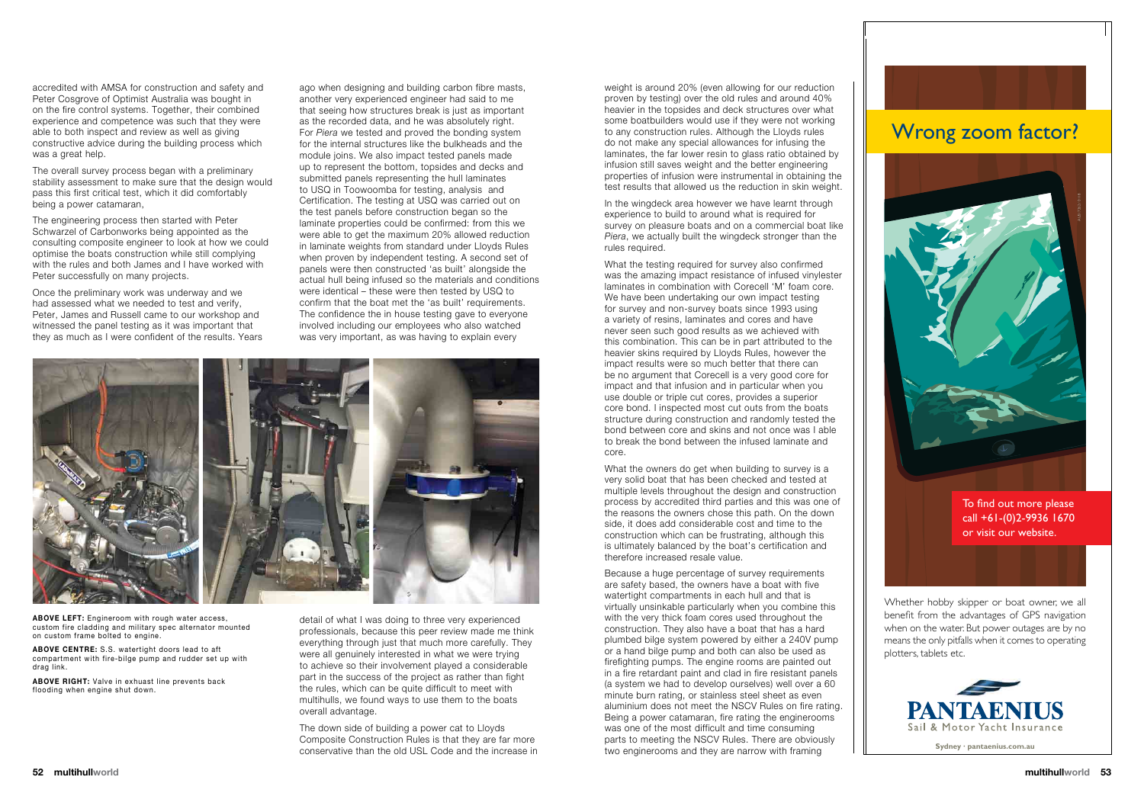### Wrong zoom factor?

To find out more please call +61-(0)2-9936 1670 or visit our website.

AUS17262 / 0118

**Sydney · pantaenius.com.au**

accredited with AMSA for construction and safety and Peter Cosgrove of Optimist Australia was bought in on the fire control systems. Together, their combined experience and competence was such that they were able to both inspect and review as well as giving constructive advice during the building process which was a great help.

> Whether hobby skipper or boat owner, we all benefit from the advantages of GPS navigation when on the water. But power outages are by no means the only pitfalls when it comes to operating plotters, tablets etc.



The overall survey process began with a preliminary stability assessment to make sure that the design would pass this first critical test, which it did comfortably being a power catamaran,

The engineering process then started with Peter Schwarzel of Carbonworks being appointed as the consulting composite engineer to look at how we could optimise the boats construction while still complying with the rules and both James and I have worked with Peter successfully on many projects.

Once the preliminary work was underway and we had assessed what we needed to test and verify, Peter, James and Russell came to our workshop and witnessed the panel testing as it was important that they as much as I were confident of the results. Years ago when designing and building carbon fibre masts, another very experienced engineer had said to me that seeing how structures break is just as important as the recorded data, and he was absolutely right. For *Piera* we tested and proved the bonding system for the internal structures like the bulkheads and the module joins. We also impact tested panels made up to represent the bottom, topsides and decks and submitted panels representing the hull laminates to USQ in Toowoomba for testing, analysis and Certification. The testing at USQ was carried out on the test panels before construction began so the laminate properties could be confirmed: from this we were able to get the maximum 20% allowed reduction in laminate weights from standard under Lloyds Rules when proven by independent testing. A second set of panels were then constructed 'as built' alongside the actual hull being infused so the materials and conditions were identical – these were then tested by USQ to confirm that the boat met the 'as built' requirements. The confidence the in house testing gave to everyone involved including our employees who also watched was very important, as was having to explain every



What the owners do get when building to survey is a very solid boat that has been checked and tested at multiple levels throughout the design and construction process by accredited third parties and this was one of the reasons the owners chose this path. On the down side, it does add considerable cost and time to the construction which can be frustrating, although this is ultimately balanced by the boat's certification and therefore increased resale value.

weight is around 20% (even allowing for our reduction proven by testing) over the old rules and around 40% heavier in the topsides and deck structures over what some boatbuilders would use if they were not working to any construction rules. Although the Lloyds rules do not make any special allowances for infusing the laminates, the far lower resin to glass ratio obtained by infusion still saves weight and the better engineering properties of infusion were instrumental in obtaining the test results that allowed us the reduction in skin weight.

In the wingdeck area however we have learnt through experience to build to around what is required for survey on pleasure boats and on a commercial boat like *Piera*, we actually built the wingdeck stronger than the rules required.

What the testing required for survey also confirmed was the amazing impact resistance of infused vinylester laminates in combination with Corecell 'M' foam core. We have been undertaking our own impact testing for survey and non-survey boats since 1993 using a variety of resins, laminates and cores and have never seen such good results as we achieved with this combination. This can be in part attributed to the heavier skins required by Lloyds Rules, however the impact results were so much better that there can be no argument that Corecell is a very good core for impact and that infusion and in particular when you use double or triple cut cores, provides a superior core bond. I inspected most cut outs from the boats structure during construction and randomly tested the bond between core and skins and not once was I able to break the bond between the infused laminate and core.

Because a huge percentage of survey requirements are safety based, the owners have a boat with five watertight compartments in each hull and that is virtually unsinkable particularly when you combine this with the very thick foam cores used throughout the construction. They also have a boat that has a hard plumbed bilge system powered by either a 240V pump or a hand bilge pump and both can also be used as firefighting pumps. The engine rooms are painted out in a fire retardant paint and clad in fire resistant panels (a system we had to develop ourselves) well over a 60 minute burn rating, or stainless steel sheet as even aluminium does not meet the NSCV Rules on fire rating. Being a power catamaran, fire rating the enginerooms was one of the most difficult and time consuming parts to meeting the NSCV Rules. There are obviously two enginerooms and they are narrow with framing

**above left:** Engineroom with rough water access, custom fire cladding and military spec alternator mounted on custom frame bolted to engine.

**above centre:** S.S. watertight doors lead to aft compartment with fire-bilge pump and rudder set up with drag link.

**above right:** Valve in exhuast line prevents back flooding when engine shut down.

detail of what I was doing to three very experienced professionals, because this peer review made me think everything through just that much more carefully. They were all genuinely interested in what we were trying to achieve so their involvement played a considerable part in the success of the project as rather than fight the rules, which can be quite difficult to meet with multihulls, we found ways to use them to the boats overall advantage.

The down side of building a power cat to Lloyds Composite Construction Rules is that they are far more conservative than the old USL Code and the increase in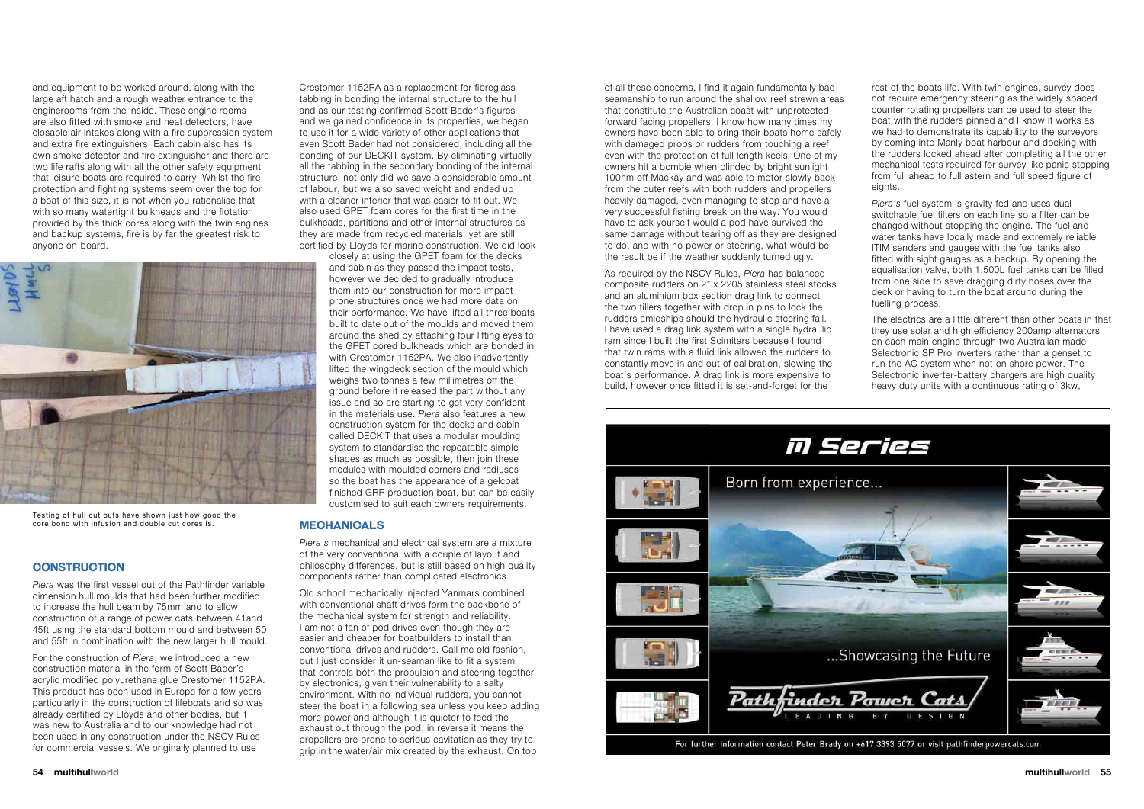and equipment to be worked around, along with the large aft hatch and a rough weather entrance to the enginerooms from the inside. These engine rooms are also fitted with smoke and heat detectors, have closable air intakes along with a fire suppression system and extra fire extinguishers. Each cabin also has its own smoke detector and fire extinguisher and there are two life rafts along with all the other safety equipment that leisure boats are required to carry. Whilst the fire protection and fighting systems seem over the top for a boat of this size, it is not when you rationalise that with so many watertight bulkheads and the flotation provided by the thick cores along with the twin engines and backup systems, fire is by far the greatest risk to anyone on-board.

#### **Construction**

*Piera* was the first vessel out of the Pathfinder variable dimension hull moulds that had been further modified to increase the hull beam by 75mm and to allow construction of a range of power cats between 41and 45ft using the standard bottom mould and between 50 and 55ft in combination with the new larger hull mould.

For the construction of *Piera*, we introduced a new construction material in the form of Scott Bader's acrylic modified polyurethane glue Crestomer 1152PA. This product has been used in Europe for a few years particularly in the construction of lifeboats and so was already certified by Lloyds and other bodies, but it was new to Australia and to our knowledge had not been used in any construction under the NSCV Rules for commercial vessels. We originally planned to use





closely at using the GPET foam for the decks and cabin as they passed the impact tests, however we decided to gradually introduce them into our construction for more impact prone structures once we had more data on their performance. We have lifted all three boats built to date out of the moulds and moved them around the shed by attaching four lifting eyes to the GPET cored bulkheads which are bonded in with Crestomer 1152PA. We also inadvertently lifted the wingdeck section of the mould which weighs two tonnes a few millimetres off the ground before it released the part without any issue and so are starting to get very confident in the materials use. *Piera* also features a new construction system for the decks and cabin called DECKIT that uses a modular moulding system to standardise the repeatable simple

shapes as much as possible, then join these modules with moulded corners and radiuses

so the boat has the appearance of a gelcoat finished GRP production boat, but can be easily customised to suit each owners requirements. **Mechanicals**

*Piera's* mechanical and electrical system are a mixture of the very conventional with a couple of layout and philosophy differences, but is still based on high quality components rather than complicated electronics.

Old school mechanically injected Yanmars combined with conventional shaft drives form the backbone of the mechanical system for strength and reliability. I am not a fan of pod drives even though they are easier and cheaper for boatbuilders to install than conventional drives and rudders. Call me old fashion, but I just consider it un-seaman like to fit a system that controls both the propulsion and steering together by electronics, given their vulnerability to a salty environment. With no individual rudders, you cannot steer the boat in a following sea unless you keep adding more power and although it is quieter to feed the exhaust out through the pod, in reverse it means the propellers are prone to serious cavitation as they try to grip in the water/air mix created by the exhaust. On top

of all these concerns, I find it again fundamentally bad seamanship to run around the shallow reef strewn areas that constitute the Australian coast with unprotected forward facing propellers. I know how many times my owners have been able to bring their boats home safely with damaged props or rudders from touching a reef even with the protection of full length keels. One of my owners hit a bombie when blinded by bright sunlight 100nm off Mackay and was able to motor slowly back from the outer reefs with both rudders and propellers heavily damaged, even managing to stop and have a very successful fishing break on the way. You would have to ask yourself would a pod have survived the same damage without tearing off as they are designed to do, and with no power or steering, what would be the result be if the weather suddenly turned ugly.

As required by the NSCV Rules, *Piera* has balanced composite rudders on 2" x 2205 stainless steel stocks and an aluminium box section drag link to connect the two tillers together with drop in pins to lock the rudders amidships should the hydraulic steering fail. I have used a drag link system with a single hydraulic ram since I built the first Scimitars because I found that twin rams with a fluid link allowed the rudders to constantly move in and out of calibration, slowing the boat's performance. A drag link is more expensive to build, however once fitted it is set-and-forget for the



rest of the boats life. With twin engines, survey does not require emergency steering as the widely spaced counter rotating propellers can be used to steer the boat with the rudders pinned and I know it works as we had to demonstrate its capability to the surveyors by coming into Manly boat harbour and docking with the rudders locked ahead after completing all the other mechanical tests required for survey like panic stopping from full ahead to full astern and full speed figure of eights.

*Piera's* fuel system is gravity fed and uses dual switchable fuel filters on each line so a filter can be changed without stopping the engine. The fuel and water tanks have locally made and extremely reliable ITIM senders and gauges with the fuel tanks also fitted with sight gauges as a backup. By opening the equalisation valve, both 1,500L fuel tanks can be filled from one side to save dragging dirty hoses over the deck or having to turn the boat around during the fuelling process.

The electrics are a little different than other boats in that they use solar and high efficiency 200amp alternators on each main engine through two Australian made Selectronic SP Pro inverters rather than a genset to run the AC system when not on shore power. The Selectronic inverter-battery chargers are high quality heavy duty units with a continuous rating of 3kw,

Testing of hull cut outs have shown just how good the core bond with infusion and double cut cores is.